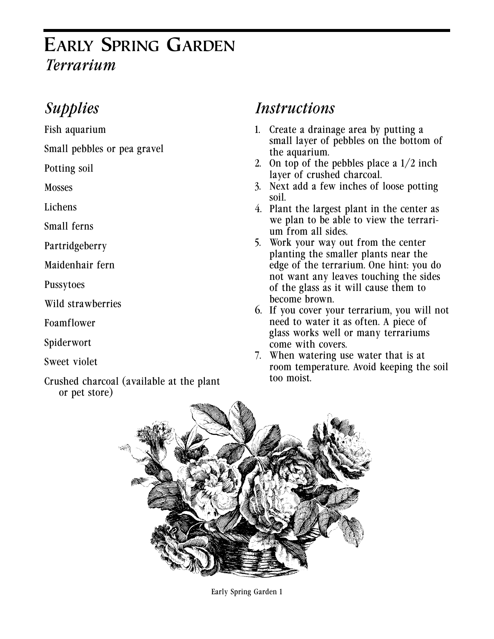# **EARLY SPRING GARDEN** *Terrarium*

## *Supplies*

Fish aquarium

Small pebbles or pea gravel

Potting soil

**Mosses** 

Lichens

Small ferns

Partridgeberry

Maidenhair fern

Pussytoes

Wild strawberries

Foamflower

Spiderwort

Sweet violet

Crushed charcoal (available at the plant or pet store)

#### *Instructions*

- 1. Create a drainage area by putting a small layer of pebbles on the bottom of the aquarium.
- 2. On top of the pebbles place a  $1/2$  inch layer of crushed charcoal.
- 3. Next add a few inches of loose potting soil.
- 4. Plant the largest plant in the center as we plan to be able to view the terrarium from all sides.
- 5. Work your way out from the center planting the smaller plants near the edge of the terrarium. One hint: you do not want any leaves touching the sides of the glass as it will cause them to become brown.
- 6. If you cover your terrarium, you will not need to water it as often. A piece of glass works well or many terrariums come with covers.
- 7. When watering use water that is at room temperature. Avoid keeping the soil too moist.



Early Spring Garden 1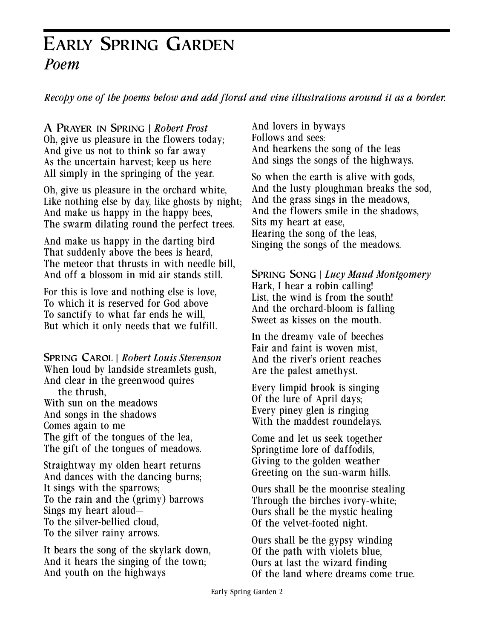## **EARLY SPRING GARDEN** *Poem*

*Recopy one of the poems below and add floral and vine illustrations around it as a border.*

**A PRAYER IN SPRING** | *Robert Frost* Oh, give us pleasure in the flowers today; And give us not to think so far away As the uncertain harvest; keep us here All simply in the springing of the year.

Oh, give us pleasure in the orchard white, Like nothing else by day, like ghosts by night; And make us happy in the happy bees, The swarm dilating round the perfect trees.

And make us happy in the darting bird That suddenly above the bees is heard, The meteor that thrusts in with needle bill, And off a blossom in mid air stands still.

For this is love and nothing else is love, To which it is reserved for God above To sanctify to what far ends he will, But which it only needs that we fulfill.

**SPRING CAROL** | *Robert Louis Stevenson* When loud by landside streamlets gush, And clear in the greenwood quires the thrush, With sun on the meadows And songs in the shadows Comes again to me The gift of the tongues of the lea, The gift of the tongues of meadows.

Straightway my olden heart returns And dances with the dancing burns; It sings with the sparrows; To the rain and the (grimy) barrows Sings my heart aloud— To the silver-bellied cloud, To the silver rainy arrows.

It bears the song of the skylark down, And it hears the singing of the town; And youth on the highways

And lovers in byways Follows and sees: And hearkens the song of the leas And sings the songs of the highways.

So when the earth is alive with gods, And the lusty ploughman breaks the sod, And the grass sings in the meadows, And the flowers smile in the shadows, Sits my heart at ease, Hearing the song of the leas, Singing the songs of the meadows.

**SPRING SONG** | *Lucy Maud Montgomery* Hark, I hear a robin calling! List, the wind is from the south! And the orchard-bloom is falling Sweet as kisses on the mouth.

In the dreamy vale of beeches Fair and faint is woven mist, And the river's orient reaches Are the palest amethyst.

Every limpid brook is singing Of the lure of April days; Every piney glen is ringing With the maddest roundelays.

Come and let us seek together Springtime lore of daffodils, Giving to the golden weather Greeting on the sun-warm hills.

Ours shall be the moonrise stealing Through the birches ivory-white; Ours shall be the mystic healing Of the velvet-footed night.

Ours shall be the gypsy winding Of the path with violets blue, Ours at last the wizard finding Of the land where dreams come true.